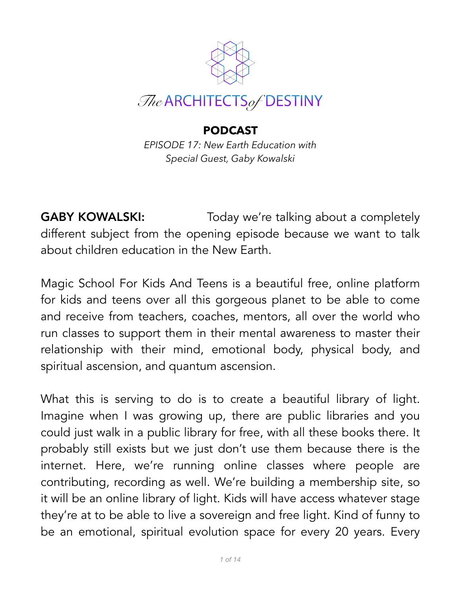

## **PODCAST**

*EPISODE 17: New Earth Education with Special Guest, Gaby Kowalski*

**GABY KOWALSKI:** Today we're talking about a completely different subject from the opening episode because we want to talk about children education in the New Earth.

Magic School For Kids And Teens is a beautiful free, online platform for kids and teens over all this gorgeous planet to be able to come and receive from teachers, coaches, mentors, all over the world who run classes to support them in their mental awareness to master their relationship with their mind, emotional body, physical body, and spiritual ascension, and quantum ascension.

What this is serving to do is to create a beautiful library of light. Imagine when I was growing up, there are public libraries and you could just walk in a public library for free, with all these books there. It probably still exists but we just don't use them because there is the internet. Here, we're running online classes where people are contributing, recording as well. We're building a membership site, so it will be an online library of light. Kids will have access whatever stage they're at to be able to live a sovereign and free light. Kind of funny to be an emotional, spiritual evolution space for every 20 years. Every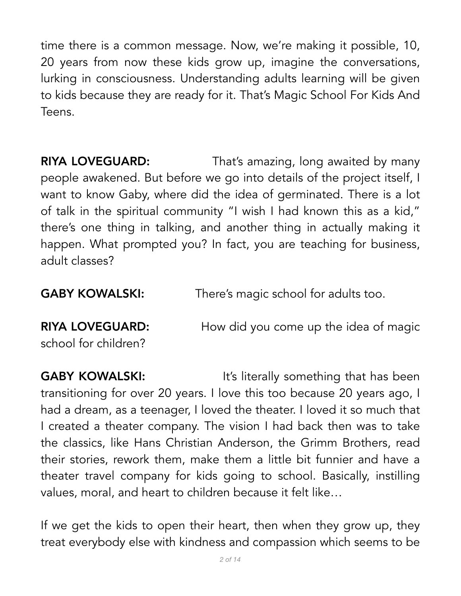time there is a common message. Now, we're making it possible, 10, 20 years from now these kids grow up, imagine the conversations, lurking in consciousness. Understanding adults learning will be given to kids because they are ready for it. That's Magic School For Kids And Teens.

**RIYA LOVEGUARD:** That's amazing, long awaited by many people awakened. But before we go into details of the project itself, I want to know Gaby, where did the idea of germinated. There is a lot of talk in the spiritual community "I wish I had known this as a kid," there's one thing in talking, and another thing in actually making it happen. What prompted you? In fact, you are teaching for business, adult classes?

**GABY KOWALSKI:** There's magic school for adults too.

**RIYA LOVEGUARD:** How did you come up the idea of magic school for children?

**GABY KOWALSKI:** It's literally something that has been transitioning for over 20 years. I love this too because 20 years ago, I had a dream, as a teenager, I loved the theater. I loved it so much that I created a theater company. The vision I had back then was to take the classics, like Hans Christian Anderson, the Grimm Brothers, read their stories, rework them, make them a little bit funnier and have a theater travel company for kids going to school. Basically, instilling values, moral, and heart to children because it felt like…

If we get the kids to open their heart, then when they grow up, they treat everybody else with kindness and compassion which seems to be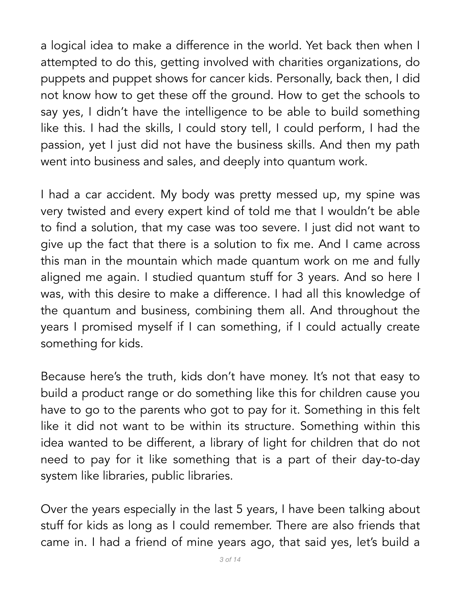a logical idea to make a difference in the world. Yet back then when I attempted to do this, getting involved with charities organizations, do puppets and puppet shows for cancer kids. Personally, back then, I did not know how to get these off the ground. How to get the schools to say yes, I didn't have the intelligence to be able to build something like this. I had the skills, I could story tell, I could perform, I had the passion, yet I just did not have the business skills. And then my path went into business and sales, and deeply into quantum work.

I had a car accident. My body was pretty messed up, my spine was very twisted and every expert kind of told me that I wouldn't be able to find a solution, that my case was too severe. I just did not want to give up the fact that there is a solution to fix me. And I came across this man in the mountain which made quantum work on me and fully aligned me again. I studied quantum stuff for 3 years. And so here I was, with this desire to make a difference. I had all this knowledge of the quantum and business, combining them all. And throughout the years I promised myself if I can something, if I could actually create something for kids.

Because here's the truth, kids don't have money. It's not that easy to build a product range or do something like this for children cause you have to go to the parents who got to pay for it. Something in this felt like it did not want to be within its structure. Something within this idea wanted to be different, a library of light for children that do not need to pay for it like something that is a part of their day-to-day system like libraries, public libraries.

Over the years especially in the last 5 years, I have been talking about stuff for kids as long as I could remember. There are also friends that came in. I had a friend of mine years ago, that said yes, let's build a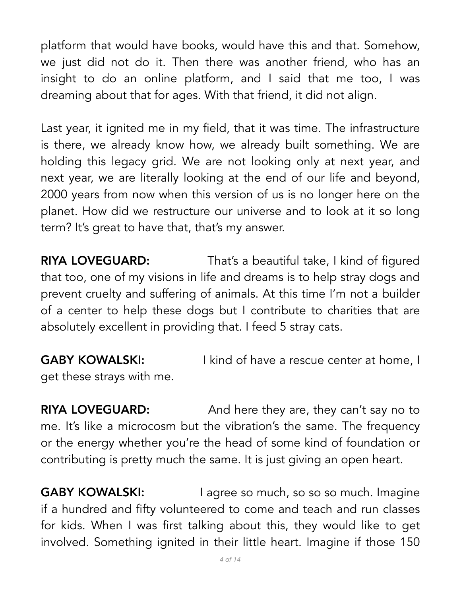platform that would have books, would have this and that. Somehow, we just did not do it. Then there was another friend, who has an insight to do an online platform, and I said that me too, I was dreaming about that for ages. With that friend, it did not align.

Last year, it ignited me in my field, that it was time. The infrastructure is there, we already know how, we already built something. We are holding this legacy grid. We are not looking only at next year, and next year, we are literally looking at the end of our life and beyond, 2000 years from now when this version of us is no longer here on the planet. How did we restructure our universe and to look at it so long term? It's great to have that, that's my answer.

**RIYA LOVEGUARD:** That's a beautiful take, I kind of figured that too, one of my visions in life and dreams is to help stray dogs and prevent cruelty and suffering of animals. At this time I'm not a builder of a center to help these dogs but I contribute to charities that are absolutely excellent in providing that. I feed 5 stray cats.

**GABY KOWALSKI:** I kind of have a rescue center at home, I get these strays with me.

**RIYA LOVEGUARD:** And here they are, they can't say no to me. It's like a microcosm but the vibration's the same. The frequency or the energy whether you're the head of some kind of foundation or contributing is pretty much the same. It is just giving an open heart.

GABY KOWALSKI: I agree so much, so so so much. Imagine if a hundred and fifty volunteered to come and teach and run classes for kids. When I was first talking about this, they would like to get involved. Something ignited in their little heart. Imagine if those 150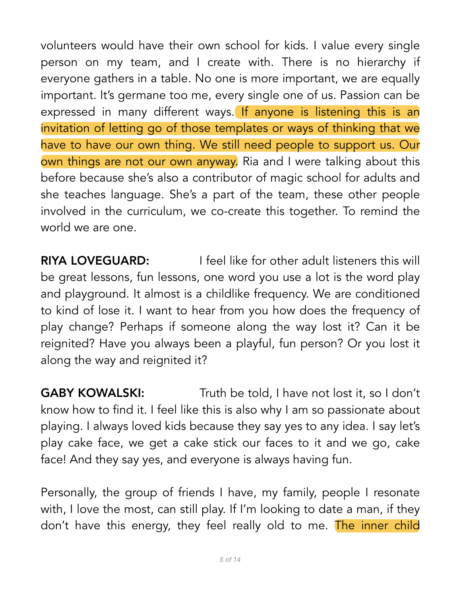volunteers would have their own school for kids. I value every single person on my team, and I create with. There is no hierarchy if everyone gathers in a table. No one is more important, we are equally important. It's germane too me, every single one of us. Passion can be expressed in many different ways. If anyone is listening this is an invitation of letting go of those templates or ways of thinking that we have to have our own thing. We still need people to support us. Our own things are not our own anyway. Ria and I were talking about this before because she's also a contributor of magic school for adults and she teaches language. She's a part of the team, these other people involved in the curriculum, we co-create this together. To remind the world we are one.

**RIYA LOVEGUARD:** I feel like for other adult listeners this will be great lessons, fun lessons, one word you use a lot is the word play and playground. It almost is a childlike frequency. We are conditioned to kind of lose it. I want to hear from you how does the frequency of play change? Perhaps if someone along the way lost it? Can it be reignited? Have you always been a playful, fun person? Or you lost it along the way and reignited it?

**GABY KOWALSKI:** Truth be told, I have not lost it, so I don't know how to find it. I feel like this is also why I am so passionate about playing. I always loved kids because they say yes to any idea. I say let's play cake face, we get a cake stick our faces to it and we go, cake face! And they say yes, and everyone is always having fun.

Personally, the group of friends I have, my family, people I resonate with, I love the most, can still play. If I'm looking to date a man, if they don't have this energy, they feel really old to me. The inner child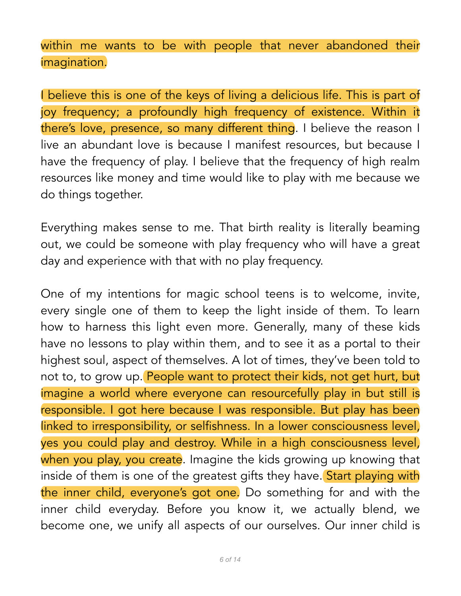within me wants to be with people that never abandoned their imagination.

I believe this is one of the keys of living a delicious life. This is part of joy frequency; a profoundly high frequency of existence. Within it there's love, presence, so many different thing. I believe the reason I live an abundant love is because I manifest resources, but because I have the frequency of play. I believe that the frequency of high realm resources like money and time would like to play with me because we do things together.

Everything makes sense to me. That birth reality is literally beaming out, we could be someone with play frequency who will have a great day and experience with that with no play frequency.

One of my intentions for magic school teens is to welcome, invite, every single one of them to keep the light inside of them. To learn how to harness this light even more. Generally, many of these kids have no lessons to play within them, and to see it as a portal to their highest soul, aspect of themselves. A lot of times, they've been told to not to, to grow up. People want to protect their kids, not get hurt, but imagine a world where everyone can resourcefully play in but still is responsible. I got here because I was responsible. But play has been linked to irresponsibility, or selfishness. In a lower consciousness level, yes you could play and destroy. While in a high consciousness level, when you play, you create. Imagine the kids growing up knowing that inside of them is one of the greatest gifts they have. Start playing with the inner child, everyone's got one. Do something for and with the inner child everyday. Before you know it, we actually blend, we become one, we unify all aspects of our ourselves. Our inner child is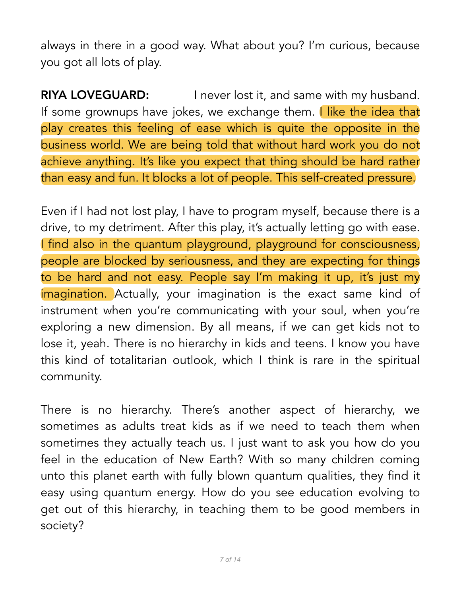always in there in a good way. What about you? I'm curious, because you got all lots of play.

**RIYA LOVEGUARD:** I never lost it, and same with my husband. If some grownups have jokes, we exchange them. I like the idea that play creates this feeling of ease which is quite the opposite in the business world. We are being told that without hard work you do not achieve anything. It's like you expect that thing should be hard rather than easy and fun. It blocks a lot of people. This self-created pressure.

Even if I had not lost play, I have to program myself, because there is a drive, to my detriment. After this play, it's actually letting go with ease. I find also in the quantum playground, playground for consciousness, people are blocked by seriousness, and they are expecting for things to be hard and not easy. People say I'm making it up, it's just my imagination. Actually, your imagination is the exact same kind of instrument when you're communicating with your soul, when you're exploring a new dimension. By all means, if we can get kids not to lose it, yeah. There is no hierarchy in kids and teens. I know you have this kind of totalitarian outlook, which I think is rare in the spiritual community.

There is no hierarchy. There's another aspect of hierarchy, we sometimes as adults treat kids as if we need to teach them when sometimes they actually teach us. I just want to ask you how do you feel in the education of New Earth? With so many children coming unto this planet earth with fully blown quantum qualities, they find it easy using quantum energy. How do you see education evolving to get out of this hierarchy, in teaching them to be good members in society?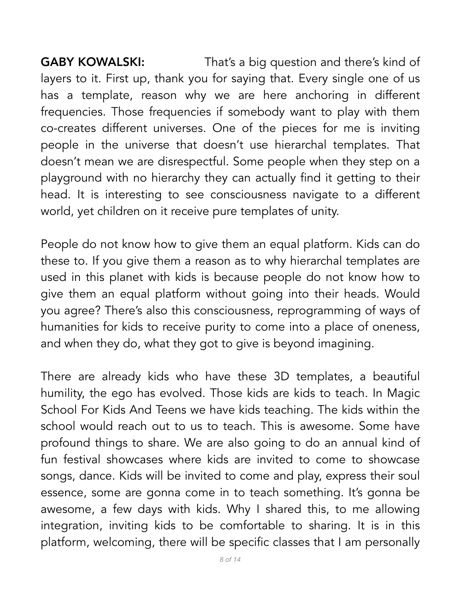**GABY KOWALSKI:** That's a big question and there's kind of layers to it. First up, thank you for saying that. Every single one of us has a template, reason why we are here anchoring in different frequencies. Those frequencies if somebody want to play with them co-creates different universes. One of the pieces for me is inviting people in the universe that doesn't use hierarchal templates. That doesn't mean we are disrespectful. Some people when they step on a playground with no hierarchy they can actually find it getting to their head. It is interesting to see consciousness navigate to a different world, yet children on it receive pure templates of unity.

People do not know how to give them an equal platform. Kids can do these to. If you give them a reason as to why hierarchal templates are used in this planet with kids is because people do not know how to give them an equal platform without going into their heads. Would you agree? There's also this consciousness, reprogramming of ways of humanities for kids to receive purity to come into a place of oneness, and when they do, what they got to give is beyond imagining.

There are already kids who have these 3D templates, a beautiful humility, the ego has evolved. Those kids are kids to teach. In Magic School For Kids And Teens we have kids teaching. The kids within the school would reach out to us to teach. This is awesome. Some have profound things to share. We are also going to do an annual kind of fun festival showcases where kids are invited to come to showcase songs, dance. Kids will be invited to come and play, express their soul essence, some are gonna come in to teach something. It's gonna be awesome, a few days with kids. Why I shared this, to me allowing integration, inviting kids to be comfortable to sharing. It is in this platform, welcoming, there will be specific classes that I am personally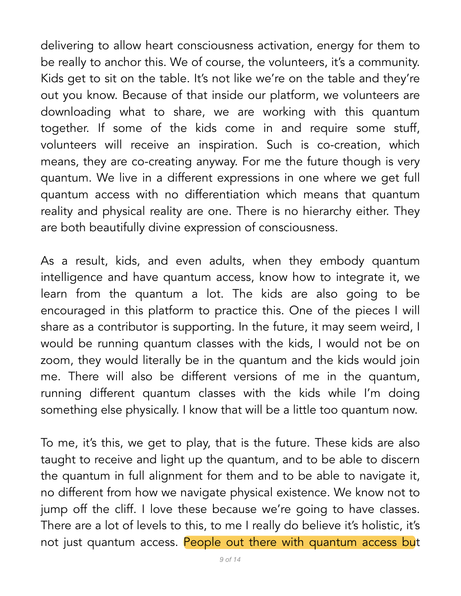delivering to allow heart consciousness activation, energy for them to be really to anchor this. We of course, the volunteers, it's a community. Kids get to sit on the table. It's not like we're on the table and they're out you know. Because of that inside our platform, we volunteers are downloading what to share, we are working with this quantum together. If some of the kids come in and require some stuff, volunteers will receive an inspiration. Such is co-creation, which means, they are co-creating anyway. For me the future though is very quantum. We live in a different expressions in one where we get full quantum access with no differentiation which means that quantum reality and physical reality are one. There is no hierarchy either. They are both beautifully divine expression of consciousness.

As a result, kids, and even adults, when they embody quantum intelligence and have quantum access, know how to integrate it, we learn from the quantum a lot. The kids are also going to be encouraged in this platform to practice this. One of the pieces I will share as a contributor is supporting. In the future, it may seem weird, I would be running quantum classes with the kids, I would not be on zoom, they would literally be in the quantum and the kids would join me. There will also be different versions of me in the quantum, running different quantum classes with the kids while I'm doing something else physically. I know that will be a little too quantum now.

To me, it's this, we get to play, that is the future. These kids are also taught to receive and light up the quantum, and to be able to discern the quantum in full alignment for them and to be able to navigate it, no different from how we navigate physical existence. We know not to jump off the cliff. I love these because we're going to have classes. There are a lot of levels to this, to me I really do believe it's holistic, it's not just quantum access. People out there with quantum access but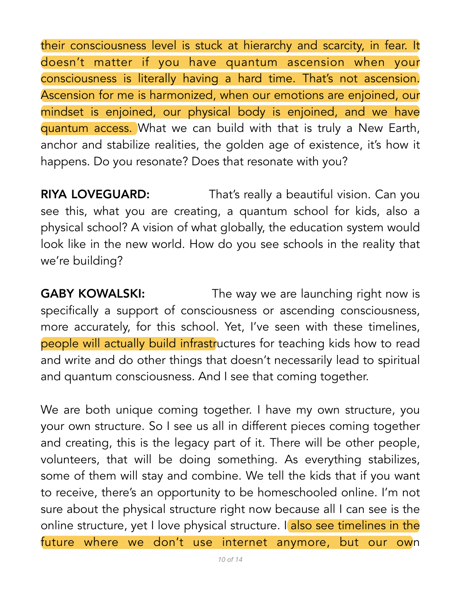their consciousness level is stuck at hierarchy and scarcity, in fear. It doesn't matter if you have quantum ascension when your consciousness is literally having a hard time. That's not ascension. Ascension for me is harmonized, when our emotions are enjoined, our mindset is enjoined, our physical body is enjoined, and we have quantum access. What we can build with that is truly a New Earth, anchor and stabilize realities, the golden age of existence, it's how it happens. Do you resonate? Does that resonate with you?

**RIYA LOVEGUARD:** That's really a beautiful vision. Can you see this, what you are creating, a quantum school for kids, also a physical school? A vision of what globally, the education system would look like in the new world. How do you see schools in the reality that we're building?

**GABY KOWALSKI:** The way we are launching right now is specifically a support of consciousness or ascending consciousness, more accurately, for this school. Yet, I've seen with these timelines, people will actually build infrastructures for teaching kids how to read and write and do other things that doesn't necessarily lead to spiritual and quantum consciousness. And I see that coming together.

We are both unique coming together. I have my own structure, you your own structure. So I see us all in different pieces coming together and creating, this is the legacy part of it. There will be other people, volunteers, that will be doing something. As everything stabilizes, some of them will stay and combine. We tell the kids that if you want to receive, there's an opportunity to be homeschooled online. I'm not sure about the physical structure right now because all I can see is the online structure, yet I love physical structure. I also see timelines in the future where we don't use internet anymore, but our own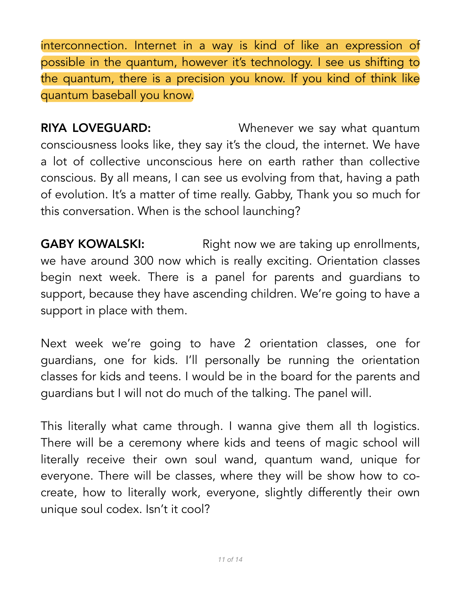interconnection. Internet in a way is kind of like an expression of possible in the quantum, however it's technology. I see us shifting to the quantum, there is a precision you know. If you kind of think like quantum baseball you know.

**RIYA LOVEGUARD:** Whenever we say what quantum consciousness looks like, they say it's the cloud, the internet. We have a lot of collective unconscious here on earth rather than collective conscious. By all means, I can see us evolving from that, having a path of evolution. It's a matter of time really. Gabby, Thank you so much for this conversation. When is the school launching?

**GABY KOWALSKI:** Right now we are taking up enrollments, we have around 300 now which is really exciting. Orientation classes begin next week. There is a panel for parents and guardians to support, because they have ascending children. We're going to have a support in place with them.

Next week we're going to have 2 orientation classes, one for guardians, one for kids. I'll personally be running the orientation classes for kids and teens. I would be in the board for the parents and guardians but I will not do much of the talking. The panel will.

This literally what came through. I wanna give them all th logistics. There will be a ceremony where kids and teens of magic school will literally receive their own soul wand, quantum wand, unique for everyone. There will be classes, where they will be show how to cocreate, how to literally work, everyone, slightly differently their own unique soul codex. Isn't it cool?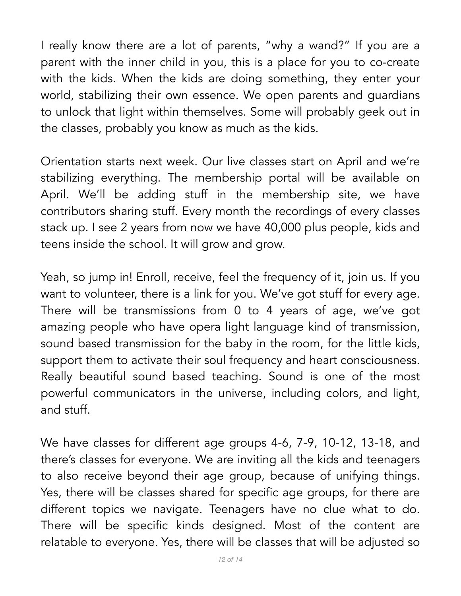I really know there are a lot of parents, "why a wand?" If you are a parent with the inner child in you, this is a place for you to co-create with the kids. When the kids are doing something, they enter your world, stabilizing their own essence. We open parents and guardians to unlock that light within themselves. Some will probably geek out in the classes, probably you know as much as the kids.

Orientation starts next week. Our live classes start on April and we're stabilizing everything. The membership portal will be available on April. We'll be adding stuff in the membership site, we have contributors sharing stuff. Every month the recordings of every classes stack up. I see 2 years from now we have 40,000 plus people, kids and teens inside the school. It will grow and grow.

Yeah, so jump in! Enroll, receive, feel the frequency of it, join us. If you want to volunteer, there is a link for you. We've got stuff for every age. There will be transmissions from 0 to 4 years of age, we've got amazing people who have opera light language kind of transmission, sound based transmission for the baby in the room, for the little kids, support them to activate their soul frequency and heart consciousness. Really beautiful sound based teaching. Sound is one of the most powerful communicators in the universe, including colors, and light, and stuff.

We have classes for different age groups 4-6, 7-9, 10-12, 13-18, and there's classes for everyone. We are inviting all the kids and teenagers to also receive beyond their age group, because of unifying things. Yes, there will be classes shared for specific age groups, for there are different topics we navigate. Teenagers have no clue what to do. There will be specific kinds designed. Most of the content are relatable to everyone. Yes, there will be classes that will be adjusted so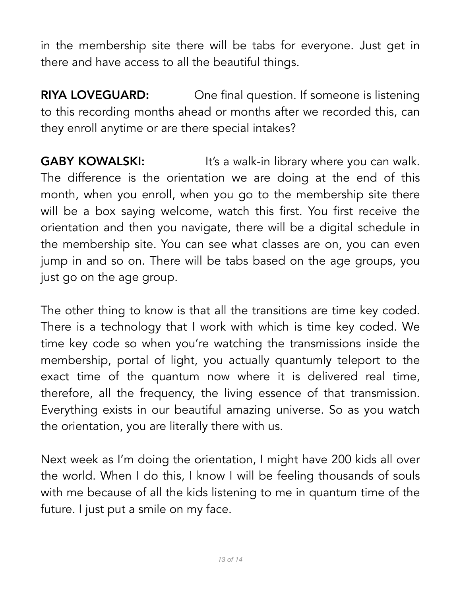in the membership site there will be tabs for everyone. Just get in there and have access to all the beautiful things.

**RIYA LOVEGUARD:** One final question. If someone is listening to this recording months ahead or months after we recorded this, can they enroll anytime or are there special intakes?

**GABY KOWALSKI:** It's a walk-in library where you can walk. The difference is the orientation we are doing at the end of this month, when you enroll, when you go to the membership site there will be a box saying welcome, watch this first. You first receive the orientation and then you navigate, there will be a digital schedule in the membership site. You can see what classes are on, you can even jump in and so on. There will be tabs based on the age groups, you just go on the age group.

The other thing to know is that all the transitions are time key coded. There is a technology that I work with which is time key coded. We time key code so when you're watching the transmissions inside the membership, portal of light, you actually quantumly teleport to the exact time of the quantum now where it is delivered real time, therefore, all the frequency, the living essence of that transmission. Everything exists in our beautiful amazing universe. So as you watch the orientation, you are literally there with us.

Next week as I'm doing the orientation, I might have 200 kids all over the world. When I do this, I know I will be feeling thousands of souls with me because of all the kids listening to me in quantum time of the future. I just put a smile on my face.